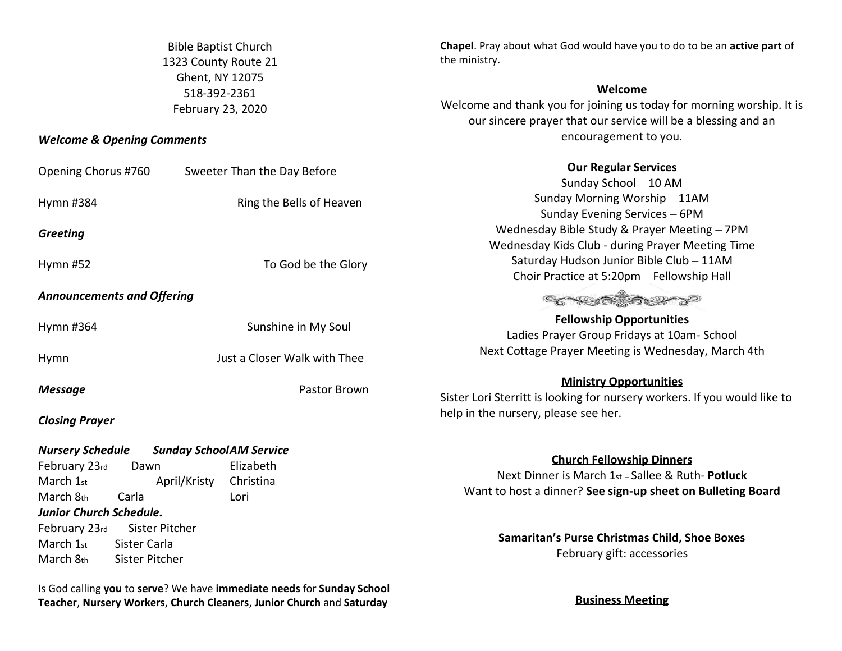Bible Baptist Church 1323 County Route 21 Ghent, NY 12075 518-392-2361 February 23, 2020

## *Welcome & Opening Comments*

February 23rd Sister Pitcher March 1st Sister Carla March 8th Sister Pitcher

| Opening Chorus #760                                                                                            | Sweeter Than the Day Before                                                      | <b>Our Regular Services</b><br>Sunday School - 10 AM                                                                                                 |
|----------------------------------------------------------------------------------------------------------------|----------------------------------------------------------------------------------|------------------------------------------------------------------------------------------------------------------------------------------------------|
| Hymn #384                                                                                                      | Ring the Bells of Heaven                                                         | Sunday Morning Worship - 11AM<br>Sunday Evening Services - 6PM                                                                                       |
| <b>Greeting</b>                                                                                                |                                                                                  | Wednesday Bible Study & Prayer Meeting - 7PM<br>Wednesday Kids Club - during Prayer Meeting Time                                                     |
| Hymn $#52$                                                                                                     | To God be the Glory                                                              | Saturday Hudson Junior Bible Club - 11AM<br>Choir Practice at 5:20pm - Fellowship Hall                                                               |
| <b>Announcements and Offering</b>                                                                              |                                                                                  |                                                                                                                                                      |
| Hymn #364                                                                                                      | Sunshine in My Soul                                                              | <b>Fellowship Opportunities</b><br>Ladies Prayer Group Fridays at 10am- School                                                                       |
| Hymn                                                                                                           | Just a Closer Walk with Thee                                                     | Next Cottage Prayer Meeting is Wednesday, March 4th                                                                                                  |
| <b>Message</b><br><b>Closing Prayer</b>                                                                        | Pastor Brown                                                                     | <b>Ministry Opportunities</b><br>Sister Lori Sterritt is looking for nursery workers. If you would like to<br>help in the nursery, please see her.   |
| <b>Nursery Schedule</b><br>February 23rd<br>Dawn<br>March 1st<br>March 8th<br>Carla<br>Junior Church Schedule. | <b>Sunday SchoolAM Service</b><br>Elizabeth<br>April/Kristy<br>Christina<br>Lori | <b>Church Fellowship Dinners</b><br>Next Dinner is March 1st - Sallee & Ruth- Potluck<br>Want to host a dinner? See sign-up sheet on Bulleting Board |

**Samaritan's Purse Christmas Child, Shoe Boxes** February gift: accessories

**Chapel**. Pray about what God would have you to do to be an **active part** of

**Welcome** Welcome and thank you for joining us today for morning worship. It is our sincere prayer that our service will be a blessing and an encouragement to you.

the ministry.

Is God calling **you** to **serve**? We have **immediate needs** for **Sunday School Teacher**, **Nursery Workers**, **Church Cleaners**, **Junior Church** and **Saturday** 

**Business Meeting**